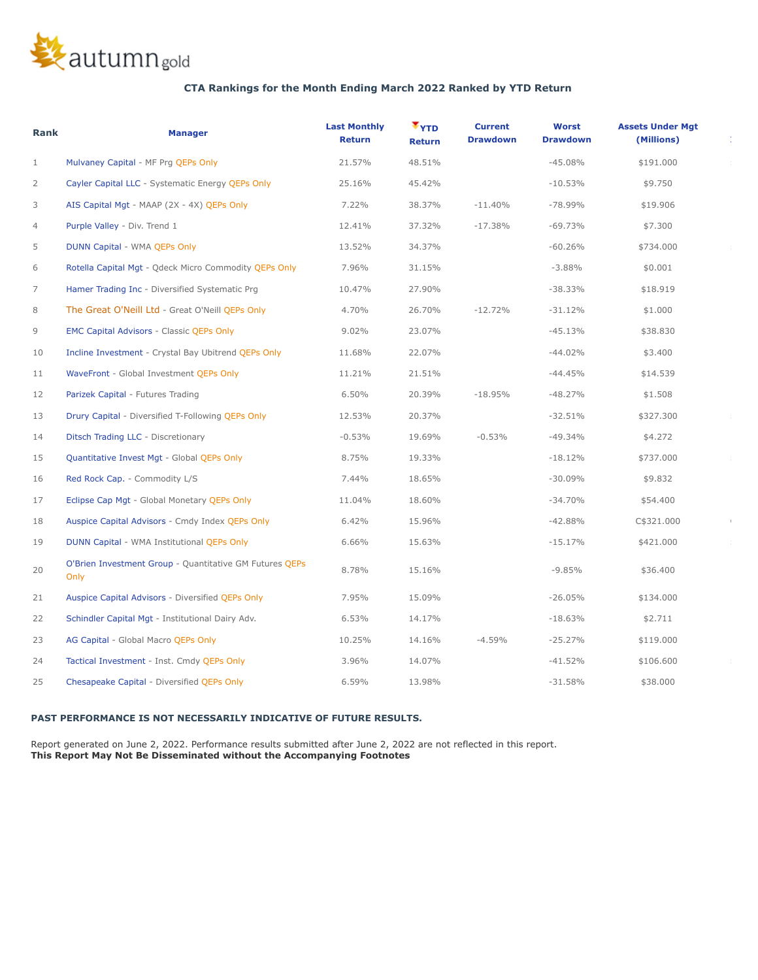

# **CTA Rankings for the Month Ending March 2022 Ranked by YTD Return**

| Rank           | <b>Manager</b>                                                  | <b>Last Monthly</b><br><b>Return</b> | $\mathbf{v}_{\text{YID}}$<br><b>Return</b> | <b>Current</b><br><b>Drawdown</b> | Worst<br><b>Drawdown</b> | <b>Assets Under Mgt</b><br>(Millions) |  |
|----------------|-----------------------------------------------------------------|--------------------------------------|--------------------------------------------|-----------------------------------|--------------------------|---------------------------------------|--|
| $\mathbf{1}$   | Mulvaney Capital - MF Prg QEPs Only                             | 21.57%                               | 48.51%                                     |                                   | $-45.08%$                | \$191.000                             |  |
| $\overline{2}$ | Cayler Capital LLC - Systematic Energy QEPs Only                | 25.16%                               | 45.42%                                     |                                   | $-10.53%$                | \$9.750                               |  |
| 3              | AIS Capital Mgt - MAAP (2X - 4X) QEPs Only                      | 7.22%                                | 38.37%                                     | $-11.40%$                         | $-78.99%$                | \$19.906                              |  |
| 4              | Purple Valley - Div. Trend 1                                    | 12.41%                               | 37.32%                                     | $-17.38%$                         | $-69.73%$                | \$7.300                               |  |
| 5              | DUNN Capital - WMA QEPs Only                                    | 13.52%                               | 34.37%                                     |                                   | $-60.26%$                | \$734.000                             |  |
| 6              | Rotella Capital Mgt - Qdeck Micro Commodity QEPs Only           | 7.96%                                | 31.15%                                     |                                   | $-3.88%$                 | \$0.001                               |  |
| 7              | Hamer Trading Inc - Diversified Systematic Prg                  | 10.47%                               | 27.90%                                     |                                   | $-38.33%$                | \$18.919                              |  |
| 8              | The Great O'Neill Ltd - Great O'Neill QEPs Only                 | 4.70%                                | 26.70%                                     | $-12.72%$                         | $-31.12%$                | \$1.000                               |  |
| 9              | <b>EMC Capital Advisors - Classic QEPs Only</b>                 | 9.02%                                | 23.07%                                     |                                   | $-45.13%$                | \$38.830                              |  |
| 10             | Incline Investment - Crystal Bay Ubitrend QEPs Only             | 11.68%                               | 22.07%                                     |                                   | $-44.02%$                | \$3.400                               |  |
| 11             | WaveFront - Global Investment QEPs Only                         | 11.21%                               | 21.51%                                     |                                   | $-44.45%$                | \$14.539                              |  |
| 12             | Parizek Capital - Futures Trading                               | 6.50%                                | 20.39%                                     | $-18.95%$                         | $-48.27%$                | \$1.508                               |  |
| 13             | Drury Capital - Diversified T-Following QEPs Only               | 12.53%                               | 20.37%                                     |                                   | $-32.51%$                | \$327.300                             |  |
| 14             | Ditsch Trading LLC - Discretionary                              | $-0.53%$                             | 19.69%                                     | $-0.53%$                          | $-49.34%$                | \$4.272                               |  |
| 15             | Quantitative Invest Mgt - Global QEPs Only                      | 8.75%                                | 19.33%                                     |                                   | $-18.12%$                | \$737.000                             |  |
| 16             | Red Rock Cap. - Commodity L/S                                   | 7.44%                                | 18.65%                                     |                                   | $-30.09%$                | \$9.832                               |  |
| 17             | Eclipse Cap Mgt - Global Monetary QEPs Only                     | 11.04%                               | 18.60%                                     |                                   | $-34.70%$                | \$54.400                              |  |
| 18             | Auspice Capital Advisors - Cmdy Index QEPs Only                 | 6.42%                                | 15.96%                                     |                                   | $-42.88%$                | C\$321.000                            |  |
| 19             | DUNN Capital - WMA Institutional QEPs Only                      | 6.66%                                | 15.63%                                     |                                   | $-15.17%$                | \$421.000                             |  |
| 20             | O'Brien Investment Group - Quantitative GM Futures QEPs<br>Only | 8.78%                                | 15.16%                                     |                                   | $-9.85%$                 | \$36.400                              |  |
| 21             | Auspice Capital Advisors - Diversified QEPs Only                | 7.95%                                | 15.09%                                     |                                   | $-26.05%$                | \$134.000                             |  |
| 22             | Schindler Capital Mgt - Institutional Dairy Adv.                | 6.53%                                | 14.17%                                     |                                   | $-18.63%$                | \$2.711                               |  |
| 23             | AG Capital - Global Macro QEPs Only                             | 10.25%                               | 14.16%                                     | $-4.59%$                          | $-25.27%$                | \$119.000                             |  |
| 24             | Tactical Investment - Inst. Cmdy QEPs Only                      | 3.96%                                | 14.07%                                     |                                   | $-41.52%$                | \$106.600                             |  |
| 25             | Chesapeake Capital - Diversified OEPs Only                      | 6.59%                                | 13.98%                                     |                                   | $-31.58%$                | \$38.000                              |  |

## **PAST PERFORMANCE IS NOT NECESSARILY INDICATIVE OF FUTURE RESULTS.**

 Report generated on June 2, 2022. Performance results submitted after June 2, 2022 are not reflected in this report. **This Report May Not Be Disseminated without the Accompanying Footnotes**